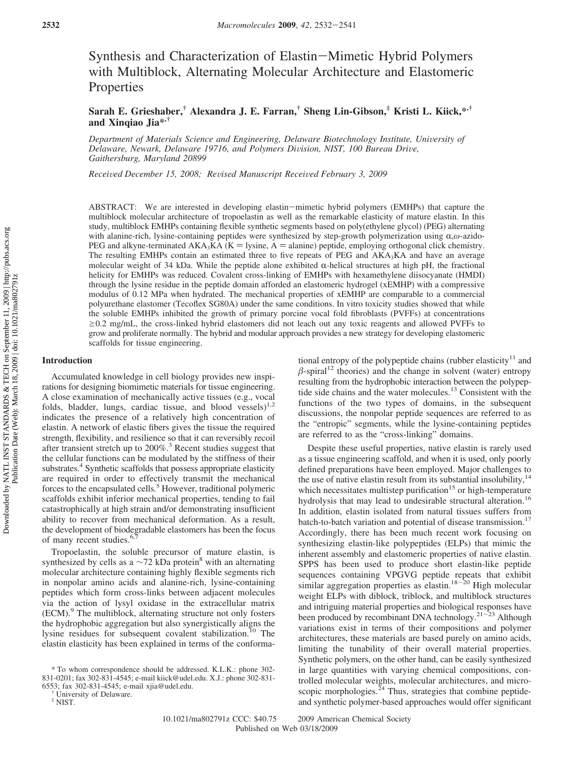# Synthesis and Characterization of Elastin-Mimetic Hybrid Polymers with Multiblock, Alternating Molecular Architecture and Elastomeric **Properties**

**Sarah E. Grieshaber,† Alexandra J. E. Farran,† Sheng Lin-Gibson,‡ Kristi L. Kiick,\*,† and Xinqiao Jia\*,†**

*Department of Materials Science and Engineering, Delaware Biotechnology Institute, University of Delaware, Newark, Delaware 19716, and Polymers Division, NIST, 100 Bureau Drive, Gaithersburg, Maryland 20899*

*Recei*V*ed December 15, 2008; Re*V*ised Manuscript Recei*V*ed February 3, 2009*

ABSTRACT: We are interested in developing elastin-mimetic hybrid polymers (EMHPs) that capture the multiblock molecular architecture of tropoelastin as well as the remarkable elasticity of mature elastin. In this study, multiblock EMHPs containing flexible synthetic segments based on poly(ethylene glycol) (PEG) alternating with alanine-rich, lysine-containing peptides were synthesized by step-growth polymerization using α,ω-azido-PEG and alkyne-terminated  $AKA_3KA$  ( $K =$  lysine, A  $=$  alanine) peptide, employing orthogonal click chemistry. The resulting EMHPs contain an estimated three to five repeats of PEG and  $AKA<sub>3</sub>KA$  and have an average molecular weight of 34 kDa. While the peptide alone exhibited  $\alpha$ -helical structures at high pH, the fractional helicity for EMHPs was reduced. Covalent cross-linking of EMHPs with hexamethylene diisocyanate (HMDI) through the lysine residue in the peptide domain afforded an elastomeric hydrogel (xEMHP) with a compressive modulus of 0.12 MPa when hydrated. The mechanical properties of xEMHP are comparable to a commercial polyurethane elastomer (Tecoflex SG80A) under the same conditions. In vitro toxicity studies showed that while the soluble EMHPs inhibited the growth of primary porcine vocal fold fibroblasts (PVFFs) at concentrations  $\geq$ 0.2 mg/mL, the cross-linked hybrid elastomers did not leach out any toxic reagents and allowed PVFFs to grow and proliferate normally. The hybrid and modular approach provides a new strategy for developing elastomeric scaffolds for tissue engineering.

#### **Introduction**

Accumulated knowledge in cell biology provides new inspirations for designing biomimetic materials for tissue engineering. A close examination of mechanically active tissues (e.g., vocal folds, bladder, lungs, cardiac tissue, and blood vessels) $1.2$ indicates the presence of a relatively high concentration of elastin. A network of elastic fibers gives the tissue the required strength, flexibility, and resilience so that it can reversibly recoil after transient stretch up to 200%.3 Recent studies suggest that the cellular functions can be modulated by the stiffness of their substrates.<sup>4</sup> Synthetic scaffolds that possess appropriate elasticity are required in order to effectively transmit the mechanical forces to the encapsulated cells.<sup>5</sup> However, traditional polymeric scaffolds exhibit inferior mechanical properties, tending to fail catastrophically at high strain and/or demonstrating insufficient ability to recover from mechanical deformation. As a result, the development of biodegradable elastomers has been the focus of many recent studies.<sup>6,7</sup>

Tropoelastin, the soluble precursor of mature elastin, is synthesized by cells as a  $\sim$ 72 kDa protein<sup>8</sup> with an alternating molecular architecture containing highly flexible segments rich in nonpolar amino acids and alanine-rich, lysine-containing peptides which form cross-links between adjacent molecules via the action of lysyl oxidase in the extracellular matrix (ECM).9 The multiblock, alternating structure not only fosters the hydrophobic aggregation but also synergistically aligns the lysine residues for subsequent covalent stabilization.<sup>10</sup> The elastin elasticity has been explained in terms of the conforma-

tional entropy of the polypeptide chains (rubber elasticity<sup>11</sup> and  $\beta$ -spiral<sup>12</sup> theories) and the change in solvent (water) entropy resulting from the hydrophobic interaction between the polypeptide side chains and the water molecules. $13$  Consistent with the functions of the two types of domains, in the subsequent discussions, the nonpolar peptide sequences are referred to as the "entropic" segments, while the lysine-containing peptides are referred to as the "cross-linking" domains.

Despite these useful properties, native elastin is rarely used as a tissue engineering scaffold, and when it is used, only poorly defined preparations have been employed. Major challenges to the use of native elastin result from its substantial insolubility, $14$ which necessitates multistep purification<sup>15</sup> or high-temperature hydrolysis that may lead to undesirable structural alteration.<sup>16</sup> In addition, elastin isolated from natural tissues suffers from batch-to-batch variation and potential of disease transmission.<sup>17</sup> Accordingly, there has been much recent work focusing on synthesizing elastin-like polypeptides (ELPs) that mimic the inherent assembly and elastomeric properties of native elastin. SPPS has been used to produce short elastin-like peptide sequences containing VPGVG peptide repeats that exhibit similar aggregation properties as elastin.<sup>18-20</sup> High molecular weight ELPs with diblock, triblock, and multiblock structures and intriguing material properties and biological responses have been produced by recombinant DNA technology.<sup>21-23</sup> Although variations exist in terms of their compositions and polymer architectures, these materials are based purely on amino acids, limiting the tunability of their overall material properties. Synthetic polymers, on the other hand, can be easily synthesized in large quantities with varying chemical compositions, controlled molecular weights, molecular architectures, and microscopic morphologies. $24$  Thus, strategies that combine peptideand synthetic polymer-based approaches would offer significant

<sup>\*</sup> To whom correspondence should be addressed. K.L.K.: phone 302- 831-0201; fax 302-831-4545; e-mail kiick@udel.edu. X.J.: phone 302-831- 6553; fax 302-831-4545; e-mail xjia@udel.edu. † University of Delaware. ‡ NIST.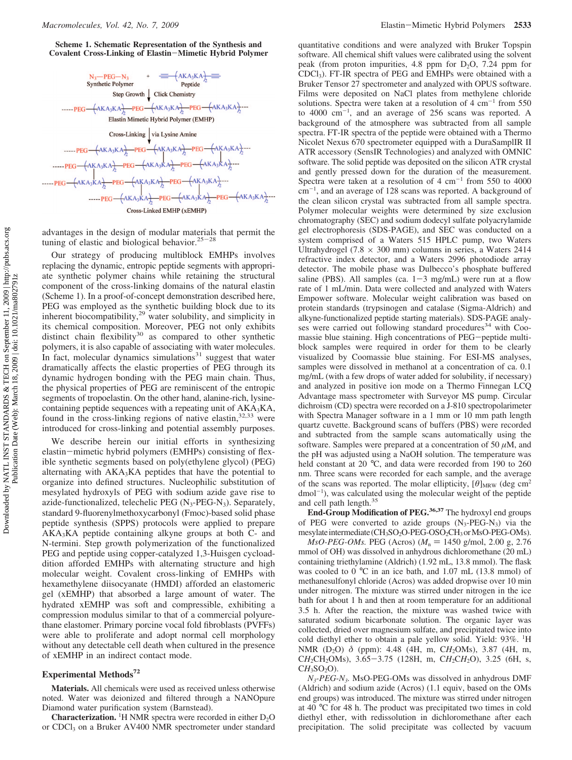**Scheme 1. Schematic Representation of the Synthesis and Covalent Cross-Linking of Elastin**-**Mimetic Hybrid Polymer**



advantages in the design of modular materials that permit the tuning of elastic and biological behavior.<sup>25-28</sup>

Our strategy of producing multiblock EMHPs involves replacing the dynamic, entropic peptide segments with appropriate synthetic polymer chains while retaining the structural component of the cross-linking domains of the natural elastin (Scheme 1). In a proof-of-concept demonstration described here, PEG was employed as the synthetic building block due to its inherent biocompatibility,29 water solubility, and simplicity in its chemical composition. Moreover, PEG not only exhibits distinct chain flexibility<sup>30</sup> as compared to other synthetic polymers, it is also capable of associating with water molecules. In fact, molecular dynamics simulations $31$  suggest that water dramatically affects the elastic properties of PEG through its dynamic hydrogen bonding with the PEG main chain. Thus, the physical properties of PEG are reminiscent of the entropic segments of tropoelastin. On the other hand, alanine-rich, lysinecontaining peptide sequences with a repeating unit of AKA3KA, found in the cross-linking regions of native elastin, $32,33$  were introduced for cross-linking and potential assembly purposes.

We describe herein our initial efforts in synthesizing elastin-mimetic hybrid polymers (EMHPs) consisting of flexible synthetic segments based on poly(ethylene glycol) (PEG) alternating with  $AKA_3KA$  peptides that have the potential to organize into defined structures. Nucleophilic substitution of mesylated hydroxyls of PEG with sodium azide gave rise to azide-functionalized, telechelic PEG  $(N_3$ -PEG-N<sub>3</sub>). Separately, standard 9-fluorenylmethoxycarbonyl (Fmoc)-based solid phase peptide synthesis (SPPS) protocols were applied to prepare AKA3KA peptide containing alkyne groups at both C- and N-termini. Step growth polymerization of the functionalized PEG and peptide using copper-catalyzed 1,3-Huisgen cycloaddition afforded EMHPs with alternating structure and high molecular weight. Covalent cross-linking of EMHPs with hexamethylene diisocyanate (HMDI) afforded an elastomeric gel (xEMHP) that absorbed a large amount of water. The hydrated xEMHP was soft and compressible, exhibiting a compression modulus similar to that of a commercial polyurethane elastomer. Primary porcine vocal fold fibroblasts (PVFFs) were able to proliferate and adopt normal cell morphology without any detectable cell death when cultured in the presence of xEMHP in an indirect contact mode.

## **Experimental Methods72**

**Materials.** All chemicals were used as received unless otherwise noted. Water was deionized and filtered through a NANOpure Diamond water purification system (Barnstead).

**Characterization.** <sup>1</sup>H NMR spectra were recorded in either  $D_2O$ or CDCl3 on a Bruker AV400 NMR spectrometer under standard

quantitative conditions and were analyzed with Bruker Topspin software. All chemical shift values were calibrated using the solvent peak (from proton impurities, 4.8 ppm for  $D_2O$ , 7.24 ppm for CDCl3). FT-IR spectra of PEG and EMHPs were obtained with a Bruker Tensor 27 spectrometer and analyzed with OPUS software. Films were deposited on NaCl plates from methylene chloride solutions. Spectra were taken at a resolution of  $4 \text{ cm}^{-1}$  from 550 to  $4000 \text{ cm}^{-1}$ , and an average of 256 scans was reported. A background of the atmosphere was subtracted from all sample spectra. FT-IR spectra of the peptide were obtained with a Thermo Nicolet Nexus 670 spectrometer equipped with a DuraSamplIR II ATR accessory (SensIR Technologies) and analyzed with OMNIC software. The solid peptide was deposited on the silicon ATR crystal and gently pressed down for the duration of the measurement. Spectra were taken at a resolution of  $4 \text{ cm}^{-1}$  from 550 to 4000 cm-<sup>1</sup> , and an average of 128 scans was reported. A background of the clean silicon crystal was subtracted from all sample spectra. Polymer molecular weights were determined by size exclusion chromatography (SEC) and sodium dodecyl sulfate polyacrylamide gel electrophoresis (SDS-PAGE), and SEC was conducted on a system comprised of a Waters 515 HPLC pump, two Waters Ultrahydrogel (7.8  $\times$  300 mm) columns in series, a Waters 2414 refractive index detector, and a Waters 2996 photodiode array detector. The mobile phase was Dulbecco's phosphate buffered saline (PBS). All samples (ca.  $1-3$  mg/mL) were run at a flow rate of 1 mL/min. Data were collected and analyzed with Waters Empower software. Molecular weight calibration was based on protein standards (trypsinogen and catalase (Sigma-Aldrich) and alkyne-functionalized peptide starting materials). SDS-PAGE analyses were carried out following standard procedures<sup>34</sup> with Coomassie blue staining. High concentrations of PEG-peptide multiblock samples were required in order for them to be clearly visualized by Coomassie blue staining. For ESI-MS analyses, samples were dissolved in methanol at a concentration of ca. 0.1 mg/mL (with a few drops of water added for solubility, if necessary) and analyzed in positive ion mode on a Thermo Finnegan LCQ Advantage mass spectrometer with Surveyor MS pump. Circular dichroism (CD) spectra were recorded on a J-810 spectropolarimeter with Spectra Manager software in a 1 mm or 10 mm path length quartz cuvette. Background scans of buffers (PBS) were recorded and subtracted from the sample scans automatically using the software. Samples were prepared at a concentration of 50 *µ*M, and the pH was adjusted using a NaOH solution. The temperature was held constant at 20 °C, and data were recorded from 190 to 260 nm. Three scans were recorded for each sample, and the average of the scans was reported. The molar ellipticity,  $[\theta]_{MRW}$  (deg cm<sup>2</sup>) dmol<sup>-1</sup>), was calculated using the molecular weight of the peptide and cell path length.35

**End-Group Modification of PEG.36,37** The hydroxyl end groups of PEG were converted to azide groups (N3-PEG-N3) via the mesylate intermediate (CH<sub>3</sub>SO<sub>2</sub>O-PEG-OSO<sub>2</sub>CH<sub>3</sub> or MsO-PEG-OMs).

*MsO-PEG-OMs.* PEG (Acros)  $(M_n = 1450 \text{ g/mol}, 2.00 \text{ g}, 2.76$ mmol of OH) was dissolved in anhydrous dichloromethane (20 mL) containing triethylamine (Aldrich) (1.92 mL, 13.8 mmol). The flask was cooled to 0 °C in an ice bath, and 1.07 mL (13.8 mmol) of methanesulfonyl chloride (Acros) was added dropwise over 10 min under nitrogen. The mixture was stirred under nitrogen in the ice bath for about 1 h and then at room temperature for an additional 3.5 h. After the reaction, the mixture was washed twice with saturated sodium bicarbonate solution. The organic layer was collected, dried over magnesium sulfate, and precipitated twice into cold diethyl ether to obtain a pale yellow solid. Yield: 93%. <sup>1</sup>H NMR (D2O) *δ* (ppm): 4.48 (4H, m, C*H*2OMs), 3.87 (4H, m, CH<sub>2</sub>CH<sub>2</sub>OMs), 3.65-3.75 (128H, m, CH<sub>2</sub>CH<sub>2</sub>O), 3.25 (6H, s,  $CH<sub>3</sub>SO<sub>2</sub>O$ .

*N3-PEG-N3.* MsO-PEG-OMs was dissolved in anhydrous DMF (Aldrich) and sodium azide (Acros) (1.1 equiv, based on the OMs end groups) was introduced. The mixture was stirred under nitrogen at 40 °C for 48 h. The product was precipitated two times in cold diethyl ether, with redissolution in dichloromethane after each precipitation. The solid precipitate was collected by vacuum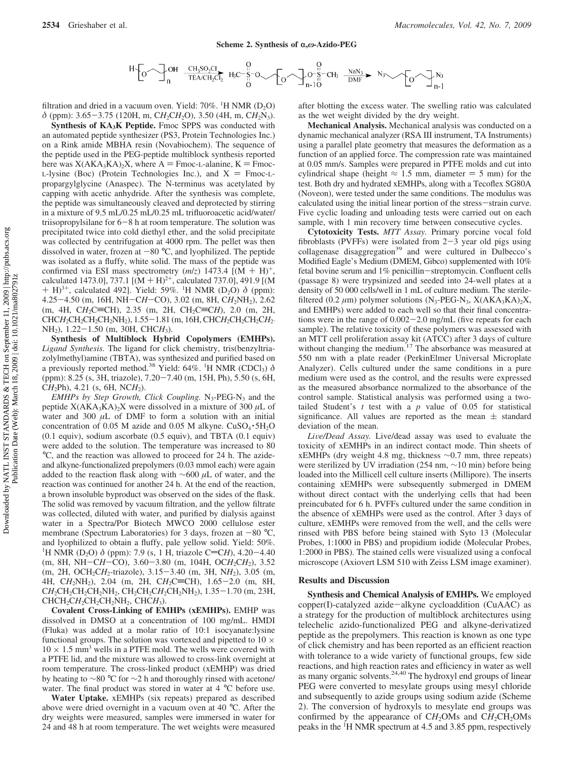

filtration and dried in a vacuum oven. Yield:  $70\%$ . <sup>1</sup>H NMR (D<sub>2</sub>O) *<sup>δ</sup>* (ppm): 3.65-3.75 (120H, m, C*H*2C*H*2O), 3.50 (4H, m, C*H*2N3).

**Synthesis of KA3K Peptide.** Fmoc SPPS was conducted with an automated peptide synthesizer (PS3, Protein Technologies Inc.) on a Rink amide MBHA resin (Novabiochem). The sequence of the peptide used in the PEG-peptide multiblock synthesis reported here was  $X(AKA<sub>3</sub>KA)<sub>2</sub>X$ , where A = Fmoc-L-alanine, K = Fmoc-L-lysine (Boc) (Protein Technologies Inc.), and  $X =$  Fmoc-Lpropargylglycine (Anaspec). The N-terminus was acetylated by capping with acetic anhydride. After the synthesis was complete, the peptide was simultaneously cleaved and deprotected by stirring in a mixture of 9.5 mL/0.25 mL/0.25 mL trifluoroacetic acid/water/ triisopropylsilane for  $6-8$  h at room temperature. The solution was precipitated twice into cold diethyl ether, and the solid precipitate was collected by centrifugation at 4000 rpm. The pellet was then dissolved in water, frozen at  $-80$  °C, and lyophilized. The peptide was isolated as a fluffy, white solid. The mass of the peptide was confirmed via ESI mass spectrometry  $(m/z)$  1473.4  $[(M + H)<sup>+</sup>]$ calculated 1473.0], 737.1  $[(M + H)^{2+}]$ , calculated 737.0], 491.9  $[(M + H)^{2+}]$ + H)<sup>3+</sup>, calculated 492]. Yield: 59%. <sup>1</sup>H NMR (D<sub>2</sub>O) δ (ppm):<br>4 25–4 50 (m 16H NH–CH–CO) 3 02 (m 8H CH-NH<sub>2</sub>) 2 62 4.25-4.50 (m, 16H, NH-C*H*-CO), 3.02 (m, 8H, C*H*2NH2), 2.62 (m, 4H, CH<sub>2</sub>C=CH), 2.35 (m, 2H, CH<sub>2</sub>C=CH), 2.0 (m, 2H, CHC*H*<sub>2</sub>CH<sub>2</sub>CH<sub>2</sub>CH<sub>2</sub>NH<sub>2</sub>), 1.55-1.81 (m, 16H, CHC*H*<sub>2</sub>CH<sub>2</sub>CH<sub>2</sub>CH<sub>2</sub> NH<sub>2</sub>), 1.22-1.50 (m, 30H, CHC*H*<sub>3</sub>).

**Synthesis of Multiblock Hybrid Copolymers (EMHPs).** *Ligand Synthesis.* The ligand for click chemistry, tris(benzyltriazolylmethyl)amine (TBTA), was synthesized and purified based on<br>a previously reported method.<sup>38</sup> Yield: 64%. <sup>1</sup>H NMR (CDCl<sub>3</sub>) *δ* (ppm): 8.25 (s, 3H, triazole), 7.20-7.40 (m, 15H, Ph), 5.50 (s, 6H,  $CH_2Ph$ , 4.21 (s, 6H, NC*H*<sub>2</sub>).

*EMHPs by Step Growth, Click Coupling.* N<sub>3</sub>-PEG-N<sub>3</sub> and the peptide  $X(AKA_3KA)_2X$  were dissolved in a mixture of 300  $\mu$ L of water and 300  $\mu$ L of DMF to form a solution with an initial concentration of 0.05 M azide and 0.05 M alkyne.  $CuSO_4 \cdot 5H_2O$ (0.1 equiv), sodium ascorbate (0.5 equiv), and TBTA (0.1 equiv) were added to the solution. The temperature was increased to 80 °C, and the reaction was allowed to proceed for 24 h. The azideand alkyne-functionalized prepolymers (0.03 mmol each) were again added to the reaction flask along with ∼600 *µ*L of water, and the reaction was continued for another 24 h. At the end of the reaction, a brown insoluble byproduct was observed on the sides of the flask. The solid was removed by vacuum filtration, and the yellow filtrate was collected, diluted with water, and purified by dialysis against water in a Spectra/Por Biotech MWCO 2000 cellulose ester membrane (Spectrum Laboratories) for 3 days, frozen at  $-80$  °C, and lyophilized to obtain a fluffy, pale yellow solid. Yield: 50%. <sup>1</sup>H NMR (D<sub>2</sub>O)  $\delta$  (ppm): 7.9 (s, 1 H, triazole C=C*H*), 4.20-4.40<br>(m 8H NH-C*H*-CO) 3.60-3.80 (m 104H OC*H*-C*H*<sub>2</sub>) 3.52 (m, 8H, NH-CH-CO), 3.60-3.80 (m, 104H, OCH<sub>2</sub>CH<sub>2</sub>), 3.52 (m, 2H, OCH<sub>2</sub>CH<sub>2</sub>-triazole), 3.15-3.40 (m, 3H, NH<sub>2</sub>), 3.05 (m, 4H, CH<sub>2</sub>NH<sub>2</sub>), 2.04 (m, 2H, CH<sub>2</sub>C=CH), 1.65-2.0 (m, 8H, CH<sub>2</sub>CH<sub>2</sub>CH<sub>2</sub>CH<sub>2</sub>NH<sub>2</sub>, CH<sub>2</sub>CH<sub>2</sub>CH<sub>2</sub>CH<sub>2</sub>NH<sub>2</sub>), 1.35-1.70 (m, 23H, CHCH<sub>2</sub>CH<sub>2</sub>CH<sub>2</sub>CH<sub>2</sub>NH<sub>2</sub>, CHCH<sub>3</sub>).

**Covalent Cross-Linking of EMHPs (xEMHPs).** EMHP was dissolved in DMSO at a concentration of 100 mg/mL. HMDI (Fluka) was added at a molar ratio of 10:1 isocyanate:lysine functional groups. The solution was vortexed and pipetted to  $10 \times$  $10 \times 1.5$  mm<sup>3</sup> wells in a PTFE mold. The wells were covered with a PTFE lid, and the mixture was allowed to cross-link overnight at room temperature. The cross-linked product (xEMHP) was dried by heating to ∼80 °C for ∼2 h and thoroughly rinsed with acetone/ water. The final product was stored in water at 4 °C before use.

**Water Uptake.** xEMHPs (six repeats) prepared as described above were dried overnight in a vacuum oven at 40 °C. After the dry weights were measured, samples were immersed in water for 24 and 48 h at room temperature. The wet weights were measured after blotting the excess water. The swelling ratio was calculated as the wet weight divided by the dry weight.

**Mechanical Analysis.** Mechanical analysis was conducted on a dynamic mechanical analyzer (RSA III instrument, TA Instruments) using a parallel plate geometry that measures the deformation as a function of an applied force. The compression rate was maintained at 0.05 mm/s. Samples were prepared in PTFE molds and cut into cylindrical shape (height  $\approx 1.5$  mm, diameter = 5 mm) for the test. Both dry and hydrated xEMHPs, along with a Tecoflex SG80A (Noveon), were tested under the same conditions. The modulus was calculated using the initial linear portion of the stress-strain curve. Five cyclic loading and unloading tests were carried out on each sample, with 1 min recovery time between consecutive cycles.

**Cytotoxicity Tests.** *MTT Assay.* Primary porcine vocal fold fibroblasts (PVFFs) were isolated from  $2-3$  year old pigs using collagenase disaggregation<sup>39</sup> and were cultured in Dulbecco's Modified Eagle's Medium (DMEM, Gibco) supplemented with 10% fetal bovine serum and 1% penicillin-streptomycin. Confluent cells (passage 8) were trypsinized and seeded into 24-well plates at a density of 50 000 cells/well in 1 mL of culture medium. The sterilefiltered (0.2  $\mu$ m) polymer solutions (N<sub>3</sub>-PEG-N<sub>3</sub>, X(AKA<sub>3</sub>KA)<sub>2</sub>X, and EMHPs) were added to each well so that their final concentrations were in the range of 0.002-2.0 mg/mL (five repeats for each sample). The relative toxicity of these polymers was assessed with an MTT cell proliferation assay kit (ATCC) after 3 days of culture without changing the medium.<sup>17</sup> The absorbance was measured at 550 nm with a plate reader (PerkinElmer Universal Microplate Analyzer). Cells cultured under the same conditions in a pure medium were used as the control, and the results were expressed as the measured absorbance normalized to the absorbance of the control sample. Statistical analysis was performed using a twotailed Student's *t* test with a *p* value of 0.05 for statistical significance. All values are reported as the mean  $\pm$  standard deviation of the mean.

*Li*V*e/Dead Assay.* Live/dead assay was used to evaluate the toxicity of xEMHPs in an indirect contact mode. Thin sheets of xEMHPs (dry weight 4.8 mg, thickness ∼0.7 mm, three repeats) were sterilized by UV irradiation (254 nm, ∼10 min) before being loaded into the Millicell cell culture inserts (Millipore). The inserts containing xEMHPs were subsequently submerged in DMEM without direct contact with the underlying cells that had been preincubated for 6 h. PVFFs cultured under the same condition in the absence of xEMHPs were used as the control. After 3 days of culture, xEMHPs were removed from the well, and the cells were rinsed with PBS before being stained with Syto 13 (Molecular Probes, 1:1000 in PBS) and propidium iodide (Molecular Probes, 1:2000 in PBS). The stained cells were visualized using a confocal microscope (Axiovert LSM 510 with Zeiss LSM image examiner).

#### **Results and Discussion**

**Synthesis and Chemical Analysis of EMHPs.** We employed copper(I)-catalyzed azide-alkyne cycloaddition (CuAAC) as a strategy for the production of multiblock architectures using telechelic azido-functionalized PEG and alkyne-derivatized peptide as the prepolymers. This reaction is known as one type of click chemistry and has been reported as an efficient reaction with tolerance to a wide variety of functional groups, few side reactions, and high reaction rates and efficiency in water as well as many organic solvents.<sup>24,40</sup> The hydroxyl end groups of linear PEG were converted to mesylate groups using mesyl chloride and subsequently to azide groups using sodium azide (Scheme 2). The conversion of hydroxyls to mesylate end groups was confirmed by the appearance of CH<sub>2</sub>OMs and CH<sub>2</sub>CH<sub>2</sub>OMs peaks in the <sup>1</sup>H NMR spectrum at 4.5 and 3.85 ppm, respectively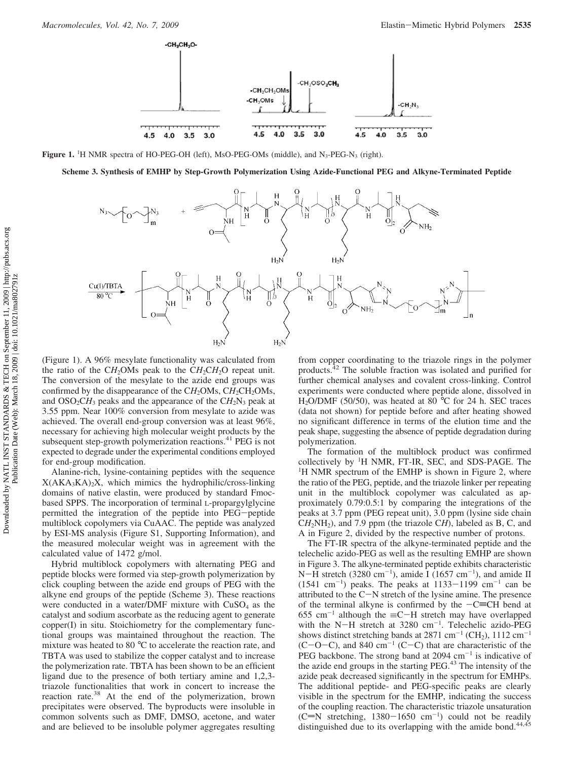

**Figure 1.** <sup>1</sup>H NMR spectra of HO-PEG-OH (left), MsO-PEG-OMs (middle), and N<sub>3</sub>-PEG-N<sub>3</sub> (right).

**Scheme 3. Synthesis of EMHP by Step-Growth Polymerization Using Azide-Functional PEG and Alkyne-Terminated Peptide**



(Figure 1). A 96% mesylate functionality was calculated from the ratio of the C*H*<sub>2</sub>OMs peak to the C*H*<sub>2</sub>C*H*<sub>2</sub>O repeat unit. The conversion of the mesylate to the azide end groups was confirmed by the disappearance of the CH<sub>2</sub>OMs, CH<sub>2</sub>CH<sub>2</sub>OMs, and  $OSO_2CH_3$  peaks and the appearance of the  $CH_2N_3$  peak at 3.55 ppm. Near 100% conversion from mesylate to azide was achieved. The overall end-group conversion was at least 96%, necessary for achieving high molecular weight products by the subsequent step-growth polymerization reactions.<sup>41</sup> PEG is not expected to degrade under the experimental conditions employed for end-group modification.

Alanine-rich, lysine-containing peptides with the sequence  $X(AKA<sub>3</sub>KA<sub>2</sub>X, which mimics the hydrophilic/cross-linking$ domains of native elastin, were produced by standard Fmocbased SPPS. The incorporation of terminal L-propargylglycine permitted the integration of the peptide into PEG-peptide multiblock copolymers via CuAAC. The peptide was analyzed by ESI-MS analysis (Figure S1, Supporting Information), and the measured molecular weight was in agreement with the calculated value of 1472 g/mol.

Hybrid multiblock copolymers with alternating PEG and peptide blocks were formed via step-growth polymerization by click coupling between the azide end groups of PEG with the alkyne end groups of the peptide (Scheme 3). These reactions were conducted in a water/DMF mixture with  $CuSO<sub>4</sub>$  as the catalyst and sodium ascorbate as the reducing agent to generate copper(I) in situ. Stoichiometry for the complementary functional groups was maintained throughout the reaction. The mixture was heated to 80 °C to accelerate the reaction rate, and TBTA was used to stabilize the copper catalyst and to increase the polymerization rate. TBTA has been shown to be an efficient ligand due to the presence of both tertiary amine and 1,2,3 triazole functionalities that work in concert to increase the reaction rate.38 At the end of the polymerization, brown precipitates were observed. The byproducts were insoluble in common solvents such as DMF, DMSO, acetone, and water and are believed to be insoluble polymer aggregates resulting

from copper coordinating to the triazole rings in the polymer products.<sup>42</sup> The soluble fraction was isolated and purified for further chemical analyses and covalent cross-linking. Control experiments were conducted where peptide alone, dissolved in H2O/DMF (50/50), was heated at 80 °C for 24 h. SEC traces (data not shown) for peptide before and after heating showed no significant difference in terms of the elution time and the peak shape, suggesting the absence of peptide degradation during polymerization.

The formation of the multiblock product was confirmed collectively by <sup>1</sup>H NMR, FT-IR, SEC, and SDS-PAGE. The <sup>1</sup>H NMR spectrum of the EMHP is shown in Figure 2, where the ratio of the PEG, peptide, and the triazole linker per repeating unit in the multiblock copolymer was calculated as approximately 0.79:0.5:1 by comparing the integrations of the peaks at 3.7 ppm (PEG repeat unit), 3.0 ppm (lysine side chain C*H*2NH2), and 7.9 ppm (the triazole C*H*), labeled as B, C, and A in Figure 2, divided by the respective number of protons.

The FT-IR spectra of the alkyne-terminated peptide and the telechelic azido-PEG as well as the resulting EMHP are shown in Figure 3. The alkyne-terminated peptide exhibits characteristic N-H stretch (3280 cm<sup>-1</sup>), amide I (1657 cm<sup>-1</sup>), and amide II (1541 cm<sup>-1</sup>) peaks. The peaks at 1133–1199 cm<sup>-1</sup> can be (1541 cm<sup>-1</sup>) peaks. The peaks at 1133–1199 cm<sup>-1</sup> can be attributed to the C-N stretch of the lysine amine. The presence attributed to the  $C-N$  stretch of the lysine amine. The presence of the terminal alkyne is confirmed by the  $-C=CH$  bend at 655 cm<sup>-1</sup> although the  $\equiv$ C-H stretch may have overlapped with the N-H stretch at 3280 cm<sup>-1</sup>. Telechelic azido-PEG<br>shows distinct stretching bands at 2871 cm<sup>-1</sup> (CH<sub>2</sub>) 1112 cm<sup>-1</sup> shows distinct stretching bands at 2871 cm<sup>-1</sup> (CH<sub>2</sub>), 1112 cm<sup>-1</sup>  $(C-O-C)$ , and 840 cm<sup>-1</sup> (C-C) that are characteristic of the PEG backbone. The strong band at 2094 cm<sup>-1</sup> is indicative of the azide end groups in the starting PEG.43 The intensity of the azide peak decreased significantly in the spectrum for EMHPs. The additional peptide- and PEG-specific peaks are clearly visible in the spectrum for the EMHP, indicating the success of the coupling reaction. The characteristic triazole unsaturation (C=N stretching, 1380-1650 cm<sup>-1</sup>) could not be readily<br>distinguished due to its overlapping with the amide bond <sup>44,45</sup> distinguished due to its overlapping with the amide bond.<sup>44,45</sup>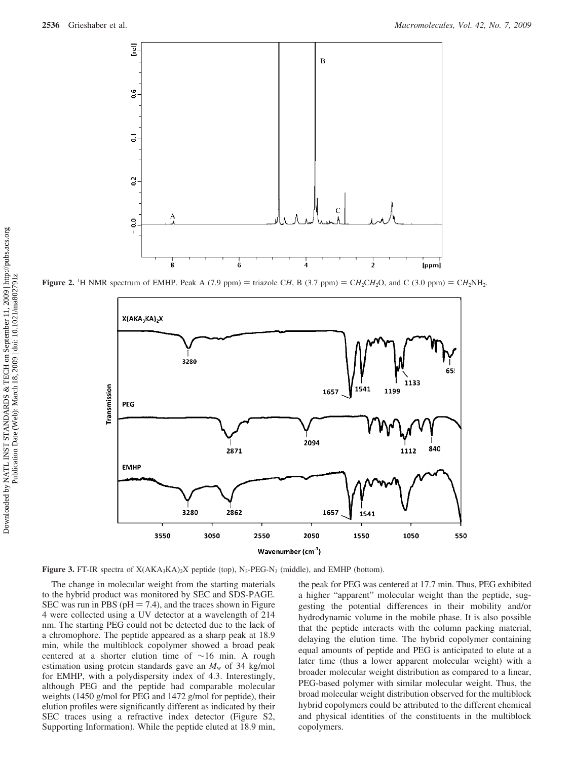

**Figure 2.** <sup>1</sup>H NMR spectrum of EMHP. Peak A (7.9 ppm) = triazole C*H*, B (3.7 ppm) = C*H*<sub>2</sub>C*H*<sub>2</sub>O, and C (3.0 ppm) = C*H*<sub>2</sub>NH<sub>2</sub>.



**Figure 3.** FT-IR spectra of  $X(AKA_3KA_2X)$  peptide (top), N<sub>3</sub>-PEG-N<sub>3</sub> (middle), and EMHP (bottom).

The change in molecular weight from the starting materials to the hybrid product was monitored by SEC and SDS-PAGE. SEC was run in PBS ( $pH = 7.4$ ), and the traces shown in Figure 4 were collected using a UV detector at a wavelength of 214 nm. The starting PEG could not be detected due to the lack of a chromophore. The peptide appeared as a sharp peak at 18.9 min, while the multiblock copolymer showed a broad peak centered at a shorter elution time of ∼16 min. A rough estimation using protein standards gave an  $M_w$  of 34 kg/mol for EMHP, with a polydispersity index of 4.3. Interestingly, although PEG and the peptide had comparable molecular weights (1450 g/mol for PEG and 1472 g/mol for peptide), their elution profiles were significantly different as indicated by their SEC traces using a refractive index detector (Figure S2, Supporting Information). While the peptide eluted at 18.9 min,

the peak for PEG was centered at 17.7 min. Thus, PEG exhibited a higher "apparent" molecular weight than the peptide, suggesting the potential differences in their mobility and/or hydrodynamic volume in the mobile phase. It is also possible that the peptide interacts with the column packing material, delaying the elution time. The hybrid copolymer containing equal amounts of peptide and PEG is anticipated to elute at a later time (thus a lower apparent molecular weight) with a broader molecular weight distribution as compared to a linear, PEG-based polymer with similar molecular weight. Thus, the broad molecular weight distribution observed for the multiblock hybrid copolymers could be attributed to the different chemical and physical identities of the constituents in the multiblock copolymers.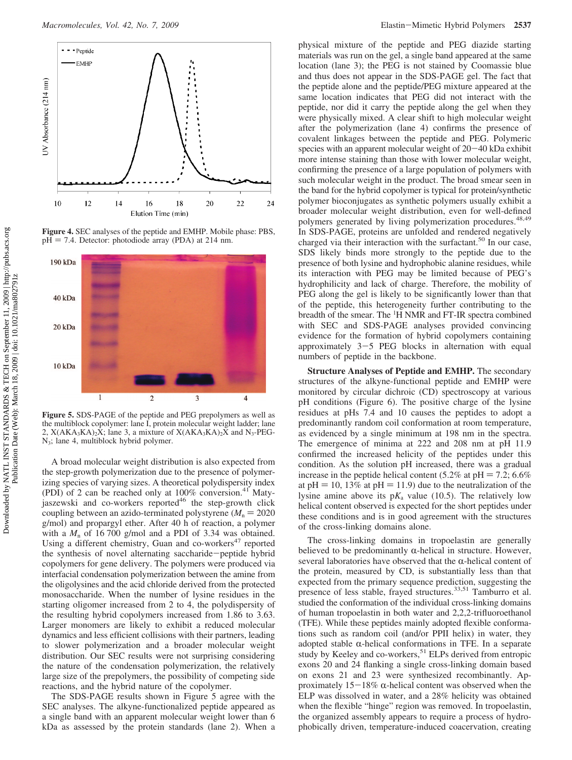

**Figure 4.** SEC analyses of the peptide and EMHP. Mobile phase: PBS,  $pH = 7.4$ . Detector: photodiode array (PDA) at 214 nm.



**Figure 5.** SDS-PAGE of the peptide and PEG prepolymers as well as the multiblock copolymer: lane I, protein molecular weight ladder; lane 2,  $X(AKA_3KA)_2X$ ; lane 3, a mixture of  $X(AKA_3KA)_2X$  and  $N_3-PEG-$ N3; lane 4, multiblock hybrid polymer.

A broad molecular weight distribution is also expected from the step-growth polymerization due to the presence of polymerizing species of varying sizes. A theoretical polydispersity index (PDI) of 2 can be reached only at  $100\%$  conversion.<sup>41</sup> Matyjaszewski and co-workers reported<sup>46</sup> the step-growth click coupling between an azido-terminated polystyrene  $(M_n = 2020$ g/mol) and propargyl ether. After 40 h of reaction, a polymer with a  $M_n$  of 16 700 g/mol and a PDI of 3.34 was obtained. Using a different chemistry, Guan and co-workers<sup>47</sup> reported the synthesis of novel alternating saccharide-peptide hybrid copolymers for gene delivery. The polymers were produced via interfacial condensation polymerization between the amine from the oligolysines and the acid chloride derived from the protected monosaccharide. When the number of lysine residues in the starting oligomer increased from 2 to 4, the polydispersity of the resulting hybrid copolymers increased from 1.86 to 3.63. Larger monomers are likely to exhibit a reduced molecular dynamics and less efficient collisions with their partners, leading to slower polymerization and a broader molecular weight distribution. Our SEC results were not surprising considering the nature of the condensation polymerization, the relatively large size of the prepolymers, the possibility of competing side reactions, and the hybrid nature of the copolymer.

The SDS-PAGE results shown in Figure 5 agree with the SEC analyses. The alkyne-functionalized peptide appeared as a single band with an apparent molecular weight lower than 6 kDa as assessed by the protein standards (lane 2). When a physical mixture of the peptide and PEG diazide starting materials was run on the gel, a single band appeared at the same location (lane 3); the PEG is not stained by Coomassie blue and thus does not appear in the SDS-PAGE gel. The fact that the peptide alone and the peptide/PEG mixture appeared at the same location indicates that PEG did not interact with the peptide, nor did it carry the peptide along the gel when they were physically mixed. A clear shift to high molecular weight after the polymerization (lane 4) confirms the presence of covalent linkages between the peptide and PEG. Polymeric species with an apparent molecular weight of 20-40 kDa exhibit more intense staining than those with lower molecular weight, confirming the presence of a large population of polymers with such molecular weight in the product. The broad smear seen in the band for the hybrid copolymer is typical for protein/synthetic polymer bioconjugates as synthetic polymers usually exhibit a broader molecular weight distribution, even for well-defined polymers generated by living polymerization procedures.<sup>48,49</sup> In SDS-PAGE, proteins are unfolded and rendered negatively charged via their interaction with the surfactant.<sup>50</sup> In our case, SDS likely binds more strongly to the peptide due to the presence of both lysine and hydrophobic alanine residues, while its interaction with PEG may be limited because of PEG's hydrophilicity and lack of charge. Therefore, the mobility of PEG along the gel is likely to be significantly lower than that of the peptide, this heterogeneity further contributing to the breadth of the smear. The <sup>1</sup>H NMR and FT-IR spectra combined with SEC and SDS-PAGE analyses provided convincing evidence for the formation of hybrid copolymers containing approximately 3-5 PEG blocks in alternation with equal numbers of peptide in the backbone.

**Structure Analyses of Peptide and EMHP.** The secondary structures of the alkyne-functional peptide and EMHP were monitored by circular dichroic (CD) spectroscopy at various pH conditions (Figure 6). The positive charge of the lysine residues at pHs 7.4 and 10 causes the peptides to adopt a predominantly random coil conformation at room temperature, as evidenced by a single minimum at 198 nm in the spectra. The emergence of minima at 222 and 208 nm at pH 11.9 confirmed the increased helicity of the peptides under this condition. As the solution pH increased, there was a gradual increase in the peptide helical content (5.2% at  $pH = 7.2$ ; 6.6% at pH = 10, 13% at pH = 11.9) due to the neutralization of the lysine amine above its  $pK_a$  value (10.5). The relatively low helical content observed is expected for the short peptides under these conditions and is in good agreement with the structures of the cross-linking domains alone.

The cross-linking domains in tropoelastin are generally believed to be predominantly  $\alpha$ -helical in structure. However, several laboratories have observed that the  $\alpha$ -helical content of the protein, measured by CD, is substantially less than that expected from the primary sequence prediction, suggesting the presence of less stable, frayed structures.33,51 Tamburro et al. studied the conformation of the individual cross-linking domains of human tropoelastin in both water and 2,2,2-trifluoroethanol (TFE). While these peptides mainly adopted flexible conformations such as random coil (and/or PPII helix) in water, they adopted stable  $\alpha$ -helical conformations in TFE. In a separate study by Keeley and co-workers,<sup>51</sup> ELPs derived from entropic exons 20 and 24 flanking a single cross-linking domain based on exons 21 and 23 were synthesized recombinantly. Approximately  $15-18\%$   $\alpha$ -helical content was observed when the ELP was dissolved in water, and a 28% helicity was obtained when the flexible "hinge" region was removed. In tropoelastin, the organized assembly appears to require a process of hydrophobically driven, temperature-induced coacervation, creating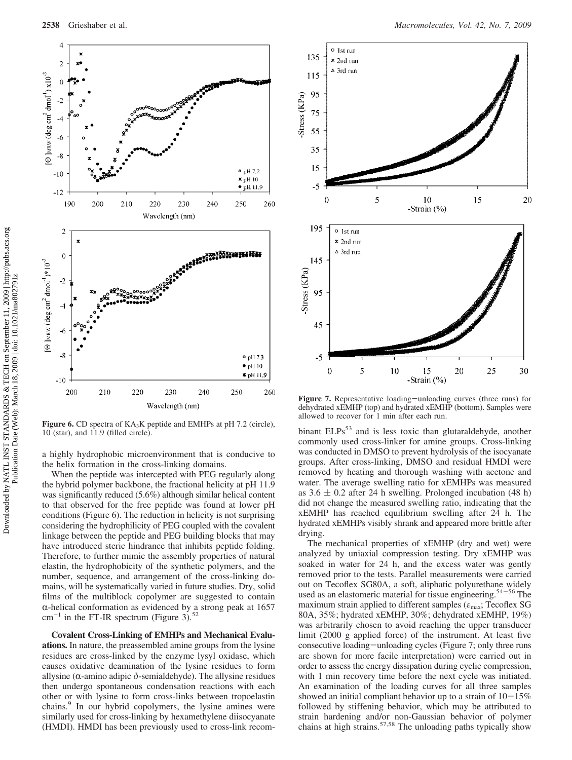

Figure 6. CD spectra of KA<sub>3</sub>K peptide and EMHPs at pH 7.2 (circle), 10 (star), and 11.9 (filled circle).

a highly hydrophobic microenvironment that is conducive to the helix formation in the cross-linking domains.

When the peptide was intercepted with PEG regularly along the hybrid polymer backbone, the fractional helicity at pH 11.9 was significantly reduced (5.6%) although similar helical content to that observed for the free peptide was found at lower pH conditions (Figure 6). The reduction in helicity is not surprising considering the hydrophilicity of PEG coupled with the covalent linkage between the peptide and PEG building blocks that may have introduced steric hindrance that inhibits peptide folding. Therefore, to further mimic the assembly properties of natural elastin, the hydrophobicity of the synthetic polymers, and the number, sequence, and arrangement of the cross-linking domains, will be systematically varied in future studies. Dry, solid films of the multiblock copolymer are suggested to contain  $\alpha$ -helical conformation as evidenced by a strong peak at 1657  $cm^{-1}$  in the FT-IR spectrum (Figure 3).<sup>52</sup>

**Covalent Cross-Linking of EMHPs and Mechanical Evaluations.** In nature, the preassembled amine groups from the lysine residues are cross-linked by the enzyme lysyl oxidase, which causes oxidative deamination of the lysine residues to form allysine ( $α$ -amino adipic  $δ$ -semialdehyde). The allysine residues then undergo spontaneous condensation reactions with each other or with lysine to form cross-links between tropoelastin chains.<sup>9</sup> In our hybrid copolymers, the lysine amines were similarly used for cross-linking by hexamethylene diisocyanate (HMDI). HMDI has been previously used to cross-link recom-



**Figure 7.** Representative loading-unloading curves (three runs) for dehydrated xEMHP (top) and hydrated xEMHP (bottom). Samples were allowed to recover for 1 min after each run.

binant ELPs<sup>53</sup> and is less toxic than glutaraldehyde, another commonly used cross-linker for amine groups. Cross-linking was conducted in DMSO to prevent hydrolysis of the isocyanate groups. After cross-linking, DMSO and residual HMDI were removed by heating and thorough washing with acetone and water. The average swelling ratio for xEMHPs was measured as  $3.6 \pm 0.2$  after 24 h swelling. Prolonged incubation (48 h) did not change the measured swelling ratio, indicating that the xEMHP has reached equilibrium swelling after 24 h. The hydrated xEMHPs visibly shrank and appeared more brittle after drying.

The mechanical properties of xEMHP (dry and wet) were analyzed by uniaxial compression testing. Dry xEMHP was soaked in water for 24 h, and the excess water was gently removed prior to the tests. Parallel measurements were carried out on Tecoflex SG80A, a soft, aliphatic polyurethane widely used as an elastomeric material for tissue engineering.<sup>54-56</sup> The maximum strain applied to different samples (*ε*max; Tecoflex SG 80A, 35%; hydrated xEMHP, 30%; dehydrated xEMHP, 19%) was arbitrarily chosen to avoid reaching the upper transducer limit (2000 g applied force) of the instrument. At least five consecutive loading-unloading cycles (Figure 7; only three runs are shown for more facile interpretation) were carried out in order to assess the energy dissipation during cyclic compression, with 1 min recovery time before the next cycle was initiated. An examination of the loading curves for all three samples showed an initial compliant behavior up to a strain of  $10-15\%$ followed by stiffening behavior, which may be attributed to strain hardening and/or non-Gaussian behavior of polymer chains at high strains.<sup>57,58</sup> The unloading paths typically show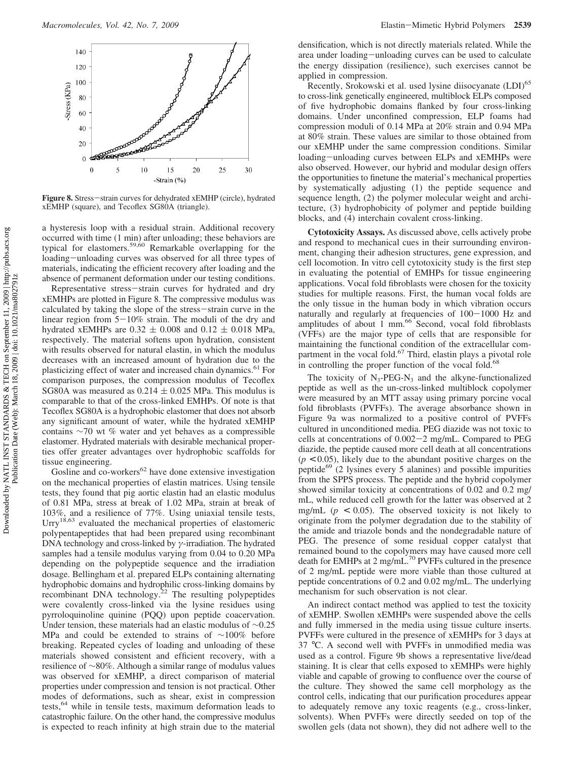

**Figure 8.** Stress-strain curves for dehydrated xEMHP (circle), hydrated xEMHP (square), and Tecoflex SG80A (triangle).

a hysteresis loop with a residual strain. Additional recovery occurred with time (1 min) after unloading; these behaviors are typical for elastomers.<sup>59,60</sup> Remarkable overlapping for the loading-unloading curves was observed for all three types of materials, indicating the efficient recovery after loading and the absence of permanent deformation under our testing conditions.

Representative stress-strain curves for hydrated and dry xEMHPs are plotted in Figure 8. The compressive modulus was calculated by taking the slope of the stress-strain curve in the linear region from  $5-10\%$  strain. The moduli of the dry and hydrated xEMHPs are  $0.32 \pm 0.008$  and  $0.12 \pm 0.018$  MPa, respectively. The material softens upon hydration, consistent with results observed for natural elastin, in which the modulus decreases with an increased amount of hydration due to the plasticizing effect of water and increased chain dynamics.<sup>61</sup> For comparison purposes, the compression modulus of Tecoflex SG80A was measured as  $0.214 \pm 0.025$  MPa. This modulus is comparable to that of the cross-linked EMHPs. Of note is that Tecoflex SG80A is a hydrophobic elastomer that does not absorb any significant amount of water, while the hydrated xEMHP contains ∼70 wt % water and yet behaves as a compressible elastomer. Hydrated materials with desirable mechanical properties offer greater advantages over hydrophobic scaffolds for tissue engineering.

Gosline and co-workers $62$  have done extensive investigation on the mechanical properties of elastin matrices. Using tensile tests, they found that pig aortic elastin had an elastic modulus of 0.81 MPa, stress at break of 1.02 MPa, strain at break of 103%, and a resilience of 77%. Using uniaxial tensile tests, Urry<sup>18,63</sup> evaluated the mechanical properties of elastomeric polypentapeptides that had been prepared using recombinant DNA technology and cross-linked by *γ*-irradiation. The hydrated samples had a tensile modulus varying from 0.04 to 0.20 MPa depending on the polypeptide sequence and the irradiation dosage. Bellingham et al. prepared ELPs containing alternating hydrophobic domains and hydrophilic cross-linking domains by recombinant DNA technology.<sup>22</sup> The resulting polypeptides were covalently cross-linked via the lysine residues using pyrroloquinoline quinine (PQQ) upon peptide coacervation. Under tension, these materials had an elastic modulus of ∼0.25 MPa and could be extended to strains of ∼100% before breaking. Repeated cycles of loading and unloading of these materials showed consistent and efficient recovery, with a resilience of ∼80%. Although a similar range of modulus values was observed for xEMHP, a direct comparison of material properties under compression and tension is not practical. Other modes of deformations, such as shear, exist in compression tests,64 while in tensile tests, maximum deformation leads to catastrophic failure. On the other hand, the compressive modulus is expected to reach infinity at high strain due to the material densification, which is not directly materials related. While the area under loading-unloading curves can be used to calculate the energy dissipation (resilience), such exercises cannot be applied in compression.

Recently, Srokowski et al. used lysine diisocyanate (LDI)<sup>65</sup> to cross-link genetically engineered, multiblock ELPs composed of five hydrophobic domains flanked by four cross-linking domains. Under unconfined compression, ELP foams had compression moduli of 0.14 MPa at 20% strain and 0.94 MPa at 80% strain. These values are similar to those obtained from our xEMHP under the same compression conditions. Similar loading-unloading curves between ELPs and xEMHPs were also observed. However, our hybrid and modular design offers the opportunities to finetune the material's mechanical properties by systematically adjusting (1) the peptide sequence and sequence length, (2) the polymer molecular weight and architecture, (3) hydrophobicity of polymer and peptide building blocks, and (4) interchain covalent cross-linking.

**Cytotoxicity Assays.** As discussed above, cells actively probe and respond to mechanical cues in their surrounding environment, changing their adhesion structures, gene expression, and cell locomotion. In vitro cell cytotoxicity study is the first step in evaluating the potential of EMHPs for tissue engineering applications. Vocal fold fibroblasts were chosen for the toxicity studies for multiple reasons. First, the human vocal folds are the only tissue in the human body in which vibration occurs naturally and regularly at frequencies of  $100-1000$  Hz and amplitudes of about 1 mm.<sup>66</sup> Second, vocal fold fibroblasts (VFFs) are the major type of cells that are responsible for maintaining the functional condition of the extracellular compartment in the vocal fold.<sup>67</sup> Third, elastin plays a pivotal role in controlling the proper function of the vocal fold.<sup>68</sup>

The toxicity of  $N_3$ -PEG- $N_3$  and the alkyne-functionalized peptide as well as the un-cross-linked multiblock copolymer were measured by an MTT assay using primary porcine vocal fold fibroblasts (PVFFs). The average absorbance shown in Figure 9a was normalized to a positive control of PVFFs cultured in unconditioned media. PEG diazide was not toxic to cells at concentrations of 0.002-2 mg/mL. Compared to PEG diazide, the peptide caused more cell death at all concentrations  $(p < 0.05)$ , likely due to the abundant positive charges on the peptide $69$  (2 lysines every 5 alanines) and possible impurities from the SPPS process. The peptide and the hybrid copolymer showed similar toxicity at concentrations of 0.02 and 0.2 mg/ mL, while reduced cell growth for the latter was observed at 2 mg/mL ( $p < 0.05$ ). The observed toxicity is not likely to originate from the polymer degradation due to the stability of the amide and triazole bonds and the nondegradable nature of PEG. The presence of some residual copper catalyst that remained bound to the copolymers may have caused more cell death for EMHPs at 2 mg/mL.70 PVFFs cultured in the presence of 2 mg/mL peptide were more viable than those cultured at peptide concentrations of 0.2 and 0.02 mg/mL. The underlying mechanism for such observation is not clear.

An indirect contact method was applied to test the toxicity of xEMHP. Swollen xEMHPs were suspended above the cells and fully immersed in the media using tissue culture inserts. PVFFs were cultured in the presence of xEMHPs for 3 days at 37 °C. A second well with PVFFs in unmodified media was used as a control. Figure 9b shows a representative live/dead staining. It is clear that cells exposed to xEMHPs were highly viable and capable of growing to confluence over the course of the culture. They showed the same cell morphology as the control cells, indicating that our purification procedures appear to adequately remove any toxic reagents (e.g., cross-linker, solvents). When PVFFs were directly seeded on top of the swollen gels (data not shown), they did not adhere well to the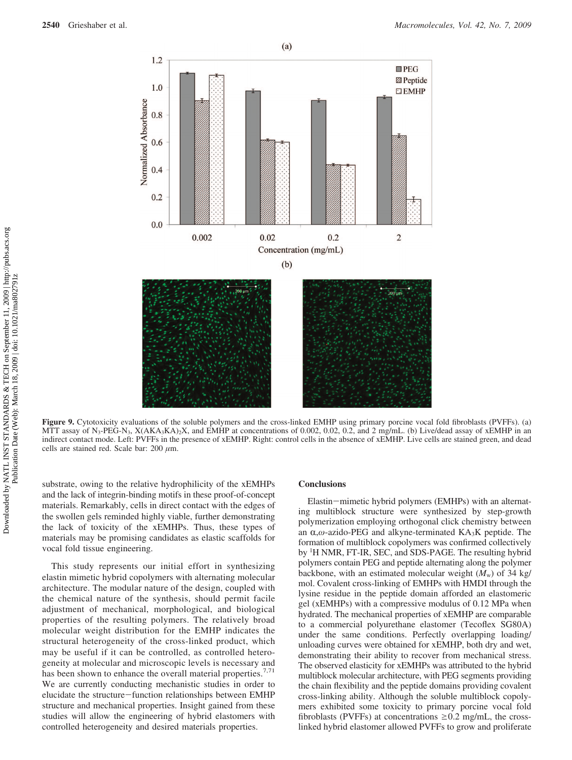

**Figure 9.** Cytotoxicity evaluations of the soluble polymers and the cross-linked EMHP using primary porcine vocal fold fibroblasts (PVFFs). (a) MTT assay of N<sub>3</sub>-PEG-N<sub>3</sub>, X(AKA<sub>3</sub>KA)<sub>2</sub>X, and EMHP at concentrations of 0.002, 0.02, 0.2, and 2 mg/mL. (b) Live/dead assay of xEMHP in an indirect contact mode. Left: PVFFs in the presence of xEMHP. Right: control cells in the absence of xEMHP. Live cells are stained green, and dead cells are stained red. Scale bar: 200 *µ*m.

substrate, owing to the relative hydrophilicity of the xEMHPs and the lack of integrin-binding motifs in these proof-of-concept materials. Remarkably, cells in direct contact with the edges of the swollen gels reminded highly viable, further demonstrating the lack of toxicity of the xEMHPs. Thus, these types of materials may be promising candidates as elastic scaffolds for vocal fold tissue engineering.

This study represents our initial effort in synthesizing elastin mimetic hybrid copolymers with alternating molecular architecture. The modular nature of the design, coupled with the chemical nature of the synthesis, should permit facile adjustment of mechanical, morphological, and biological properties of the resulting polymers. The relatively broad molecular weight distribution for the EMHP indicates the structural heterogeneity of the cross-linked product, which may be useful if it can be controlled, as controlled heterogeneity at molecular and microscopic levels is necessary and has been shown to enhance the overall material properties.<sup>7,71</sup> We are currently conducting mechanistic studies in order to elucidate the structure-function relationships between EMHP structure and mechanical properties. Insight gained from these studies will allow the engineering of hybrid elastomers with controlled heterogeneity and desired materials properties.

#### **Conclusions**

Elastin-mimetic hybrid polymers (EMHPs) with an alternating multiblock structure were synthesized by step-growth polymerization employing orthogonal click chemistry between an α,ω-azido-PEG and alkyne-terminated KA<sub>3</sub>K peptide. The formation of multiblock copolymers was confirmed collectively by <sup>1</sup>H NMR, FT-IR, SEC, and SDS-PAGE. The resulting hybrid polymers contain PEG and peptide alternating along the polymer backbone, with an estimated molecular weight  $(M_w)$  of 34 kg/ mol. Covalent cross-linking of EMHPs with HMDI through the lysine residue in the peptide domain afforded an elastomeric gel (xEMHPs) with a compressive modulus of 0.12 MPa when hydrated. The mechanical properties of xEMHP are comparable to a commercial polyurethane elastomer (Tecoflex SG80A) under the same conditions. Perfectly overlapping loading/ unloading curves were obtained for xEMHP, both dry and wet, demonstrating their ability to recover from mechanical stress. The observed elasticity for xEMHPs was attributed to the hybrid multiblock molecular architecture, with PEG segments providing the chain flexibility and the peptide domains providing covalent cross-linking ability. Although the soluble multiblock copolymers exhibited some toxicity to primary porcine vocal fold fibroblasts (PVFFs) at concentrations  $\geq 0.2$  mg/mL, the crosslinked hybrid elastomer allowed PVFFs to grow and proliferate